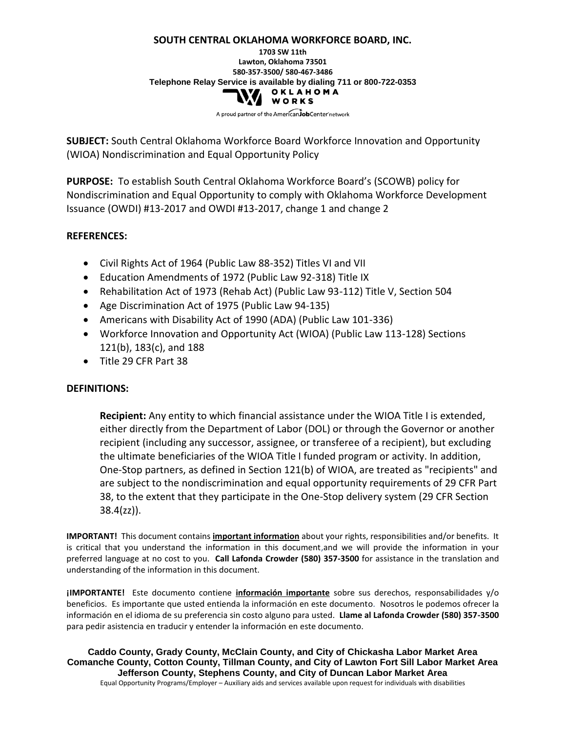# **SOUTH CENTRAL OKLAHOMA WORKFORCE BOARD, INC. 1703 SW 11th Lawton, Oklahoma 73501 580-357-3500/ 580-467-3486 Telephone Relay Service is available by dialing 711 or 800-722-0353**<br> **O K L A H O M A** WORKS

A proud partner of the American JobCenter network

**SUBJECT:** South Central Oklahoma Workforce Board Workforce Innovation and Opportunity (WIOA) Nondiscrimination and Equal Opportunity Policy

**PURPOSE:** To establish South Central Oklahoma Workforce Board's (SCOWB) policy for Nondiscrimination and Equal Opportunity to comply with Oklahoma Workforce Development Issuance (OWDI) #13-2017 and OWDI #13-2017, change 1 and change 2

# **REFERENCES:**

- Civil Rights Act of 1964 (Public Law 88-352) Titles VI and VII
- Education Amendments of 1972 (Public Law 92-318) Title IX
- Rehabilitation Act of 1973 (Rehab Act) (Public Law 93-112) Title V, Section 504
- Age Discrimination Act of 1975 (Public Law 94-135)
- Americans with Disability Act of 1990 (ADA) (Public Law 101-336)
- Workforce Innovation and Opportunity Act (WIOA) (Public Law 113-128) Sections 121(b), 183(c), and 188
- Title 29 CFR Part 38

# **DEFINITIONS:**

**Recipient:** Any entity to which financial assistance under the WIOA Title I is extended, either directly from the Department of Labor (DOL) or through the Governor or another recipient (including any successor, assignee, or transferee of a recipient), but excluding the ultimate beneficiaries of the WIOA Title I funded program or activity. In addition, One-Stop partners, as defined in Section 121(b) of WIOA, are treated as "recipients" and are subject to the nondiscrimination and equal opportunity requirements of 29 CFR Part 38, to the extent that they participate in the One-Stop delivery system (29 CFR Section 38.4(zz)).

**IMPORTANT!** This document contains **important information** about your rights, responsibilities and/or benefits. It is critical that you understand the information in this document,and we will provide the information in your preferred language at no cost to you. **Call Lafonda Crowder (580) 357-3500** for assistance in the translation and understanding of the information in this document.

**¡IMPORTANTE!** Este documento contiene **información importante** sobre sus derechos, responsabilidades y/o beneficios. Es importante que usted entienda la información en este documento. Nosotros le podemos ofrecer la información en el idioma de su preferencia sin costo alguno para usted. **Llame al Lafonda Crowder (580) 357-3500** para pedir asistencia en traducir y entender la información en este documento.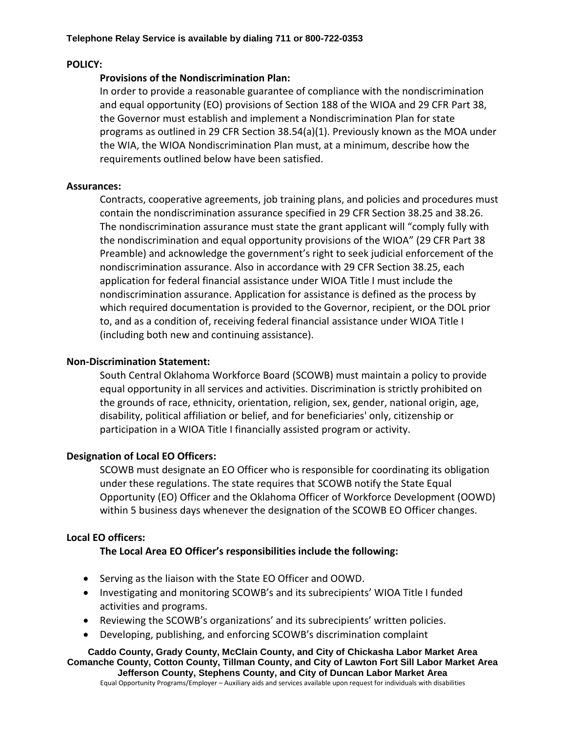### **POLICY:**

### **Provisions of the Nondiscrimination Plan:**

In order to provide a reasonable guarantee of compliance with the nondiscrimination and equal opportunity (EO) provisions of Section 188 of the WIOA and 29 CFR Part 38, the Governor must establish and implement a Nondiscrimination Plan for state programs as outlined in 29 CFR Section 38.54(a)(1). Previously known as the MOA under the WIA, the WIOA Nondiscrimination Plan must, at a minimum, describe how the requirements outlined below have been satisfied.

#### **Assurances:**

Contracts, cooperative agreements, job training plans, and policies and procedures must contain the nondiscrimination assurance specified in 29 CFR Section 38.25 and 38.26. The nondiscrimination assurance must state the grant applicant will "comply fully with the nondiscrimination and equal opportunity provisions of the WIOA" (29 CFR Part 38 Preamble) and acknowledge the government's right to seek judicial enforcement of the nondiscrimination assurance. Also in accordance with 29 CFR Section 38.25, each application for federal financial assistance under WIOA Title I must include the nondiscrimination assurance. Application for assistance is defined as the process by which required documentation is provided to the Governor, recipient, or the DOL prior to, and as a condition of, receiving federal financial assistance under WIOA Title I (including both new and continuing assistance).

### **Non-Discrimination Statement:**

South Central Oklahoma Workforce Board (SCOWB) must maintain a policy to provide equal opportunity in all services and activities. Discrimination is strictly prohibited on the grounds of race, ethnicity, orientation, religion, sex, gender, national origin, age, disability, political affiliation or belief, and for beneficiaries' only, citizenship or participation in a WIOA Title I financially assisted program or activity.

# **Designation of Local EO Officers:**

SCOWB must designate an EO Officer who is responsible for coordinating its obligation under these regulations. The state requires that SCOWB notify the State Equal Opportunity (EO) Officer and the Oklahoma Officer of Workforce Development (OOWD) within 5 business days whenever the designation of the SCOWB EO Officer changes.

# **Local EO officers:**

# **The Local Area EO Officer's responsibilities include the following:**

- Serving as the liaison with the State EO Officer and OOWD.
- Investigating and monitoring SCOWB's and its subrecipients' WIOA Title I funded activities and programs.
- Reviewing the SCOWB's organizations' and its subrecipients' written policies.
- Developing, publishing, and enforcing SCOWB's discrimination complaint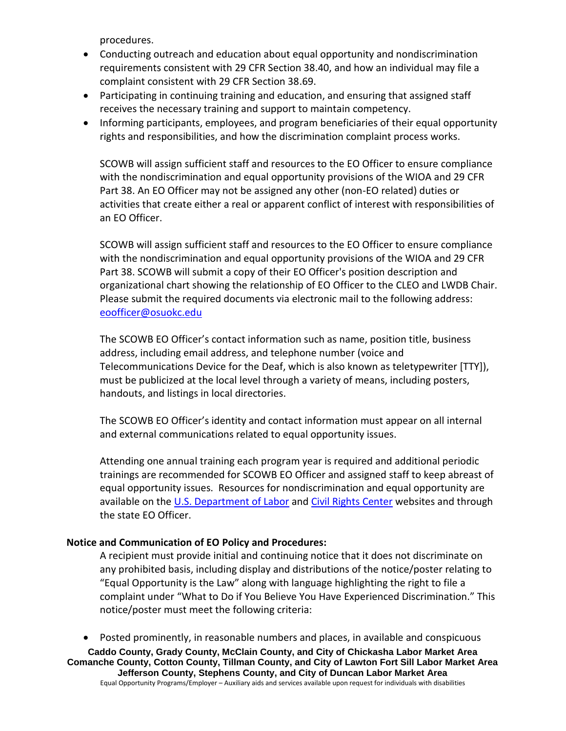procedures.

- Conducting outreach and education about equal opportunity and nondiscrimination requirements consistent with 29 CFR Section 38.40, and how an individual may file a complaint consistent with 29 CFR Section 38.69.
- Participating in continuing training and education, and ensuring that assigned staff receives the necessary training and support to maintain competency.
- Informing participants, employees, and program beneficiaries of their equal opportunity rights and responsibilities, and how the discrimination complaint process works.

SCOWB will assign sufficient staff and resources to the EO Officer to ensure compliance with the nondiscrimination and equal opportunity provisions of the WIOA and 29 CFR Part 38. An EO Officer may not be assigned any other (non-EO related) duties or activities that create either a real or apparent conflict of interest with responsibilities of an EO Officer.

SCOWB will assign sufficient staff and resources to the EO Officer to ensure compliance with the nondiscrimination and equal opportunity provisions of the WIOA and 29 CFR Part 38. SCOWB will submit a copy of their EO Officer's position description and organizational chart showing the relationship of EO Officer to the CLEO and LWDB Chair. Please submit the required documents via electronic mail to the following address: [eoofficer@osuokc.edu](mailto:eoofficer@osuokc.edu)

The SCOWB EO Officer's contact information such as name, position title, business address, including email address, and telephone number (voice and Telecommunications Device for the Deaf, which is also known as teletypewriter [TTY]), must be publicized at the local level through a variety of means, including posters, handouts, and listings in local directories.

The SCOWB EO Officer's identity and contact information must appear on all internal and external communications related to equal opportunity issues.

Attending one annual training each program year is required and additional periodic trainings are recommended for SCOWB EO Officer and assigned staff to keep abreast of equal opportunity issues. Resources for nondiscrimination and equal opportunity are available on the [U.S. Department of Labor](https://www.doleta.gov/WIOA/Final_Rules_Resources.cfm) and [Civil Rights Center](https://www.dol.gov/oasam/programs/crc/) websites and through the state EO Officer.

# **Notice and Communication of EO Policy and Procedures:**

A recipient must provide initial and continuing notice that it does not discriminate on any prohibited basis, including display and distributions of the notice/poster relating to "Equal Opportunity is the Law" along with language highlighting the right to file a complaint under "What to Do if You Believe You Have Experienced Discrimination." This notice/poster must meet the following criteria:

• Posted prominently, in reasonable numbers and places, in available and conspicuous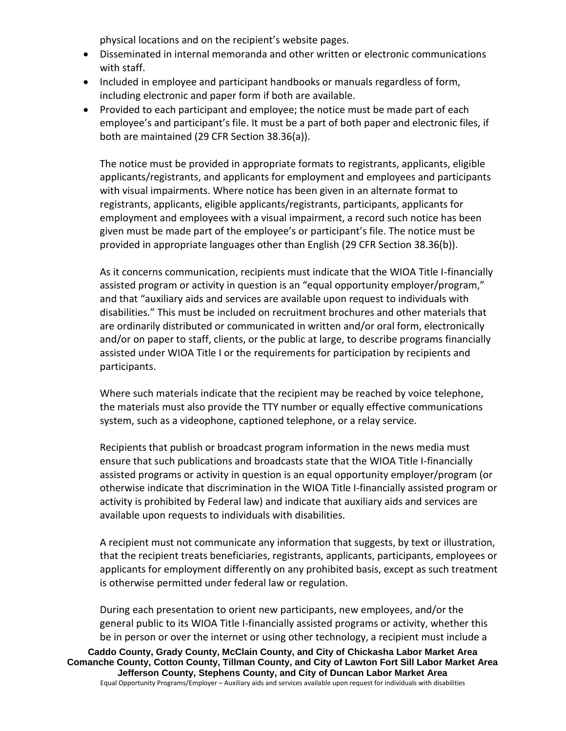physical locations and on the recipient's website pages.

- Disseminated in internal memoranda and other written or electronic communications with staff.
- Included in employee and participant handbooks or manuals regardless of form, including electronic and paper form if both are available.
- Provided to each participant and employee; the notice must be made part of each employee's and participant's file. It must be a part of both paper and electronic files, if both are maintained (29 CFR Section 38.36(a)).

The notice must be provided in appropriate formats to registrants, applicants, eligible applicants/registrants, and applicants for employment and employees and participants with visual impairments. Where notice has been given in an alternate format to registrants, applicants, eligible applicants/registrants, participants, applicants for employment and employees with a visual impairment, a record such notice has been given must be made part of the employee's or participant's file. The notice must be provided in appropriate languages other than English (29 CFR Section 38.36(b)).

As it concerns communication, recipients must indicate that the WIOA Title I-financially assisted program or activity in question is an "equal opportunity employer/program," and that "auxiliary aids and services are available upon request to individuals with disabilities." This must be included on recruitment brochures and other materials that are ordinarily distributed or communicated in written and/or oral form, electronically and/or on paper to staff, clients, or the public at large, to describe programs financially assisted under WIOA Title I or the requirements for participation by recipients and participants.

Where such materials indicate that the recipient may be reached by voice telephone, the materials must also provide the TTY number or equally effective communications system, such as a videophone, captioned telephone, or a relay service.

Recipients that publish or broadcast program information in the news media must ensure that such publications and broadcasts state that the WIOA Title I-financially assisted programs or activity in question is an equal opportunity employer/program (or otherwise indicate that discrimination in the WIOA Title I-financially assisted program or activity is prohibited by Federal law) and indicate that auxiliary aids and services are available upon requests to individuals with disabilities.

A recipient must not communicate any information that suggests, by text or illustration, that the recipient treats beneficiaries, registrants, applicants, participants, employees or applicants for employment differently on any prohibited basis, except as such treatment is otherwise permitted under federal law or regulation.

During each presentation to orient new participants, new employees, and/or the general public to its WIOA Title I-financially assisted programs or activity, whether this be in person or over the internet or using other technology, a recipient must include a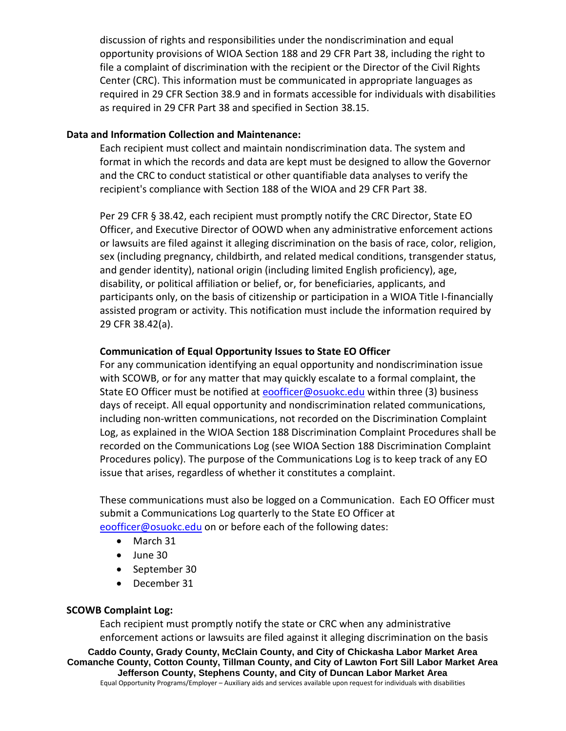discussion of rights and responsibilities under the nondiscrimination and equal opportunity provisions of WIOA Section 188 and 29 CFR Part 38, including the right to file a complaint of discrimination with the recipient or the Director of the Civil Rights Center (CRC). This information must be communicated in appropriate languages as required in 29 CFR Section 38.9 and in formats accessible for individuals with disabilities as required in 29 CFR Part 38 and specified in Section 38.15.

### **Data and Information Collection and Maintenance:**

Each recipient must collect and maintain nondiscrimination data. The system and format in which the records and data are kept must be designed to allow the Governor and the CRC to conduct statistical or other quantifiable data analyses to verify the recipient's compliance with Section 188 of the WIOA and 29 CFR Part 38.

Per 29 CFR § 38.42, each recipient must promptly notify the CRC Director, State EO Officer, and Executive Director of OOWD when any administrative enforcement actions or lawsuits are filed against it alleging discrimination on the basis of race, color, religion, sex (including pregnancy, childbirth, and related medical conditions, transgender status, and gender identity), national origin (including limited English proficiency), age, disability, or political affiliation or belief, or, for beneficiaries, applicants, and participants only, on the basis of citizenship or participation in a WIOA Title I-financially assisted program or activity. This notification must include the information required by 29 CFR 38.42(a).

# **Communication of Equal Opportunity Issues to State EO Officer**

For any communication identifying an equal opportunity and nondiscrimination issue with SCOWB, or for any matter that may quickly escalate to a formal complaint, the State EO Officer must be notified at [eoofficer@osuokc.edu](mailto:eoofficer@osuokc.edu) within three (3) business days of receipt. All equal opportunity and nondiscrimination related communications, including non-written communications, not recorded on the Discrimination Complaint Log, as explained in the WIOA Section 188 Discrimination Complaint Procedures shall be recorded on the Communications Log (see WIOA Section 188 Discrimination Complaint Procedures policy). The purpose of the Communications Log is to keep track of any EO issue that arises, regardless of whether it constitutes a complaint.

These communications must also be logged on a Communication. Each EO Officer must submit a Communications Log quarterly to the State EO Officer at [eoofficer@osuokc.edu](mailto:eoofficer@osuokc.edu) on or before each of the following dates:

- March 31
- June 30
- September 30
- December 31

#### **SCOWB Complaint Log:**

Each recipient must promptly notify the state or CRC when any administrative enforcement actions or lawsuits are filed against it alleging discrimination on the basis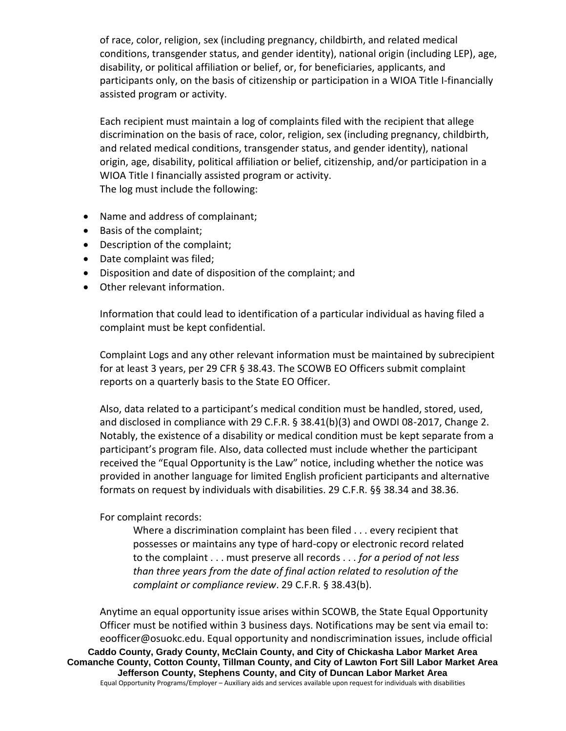of race, color, religion, sex (including pregnancy, childbirth, and related medical conditions, transgender status, and gender identity), national origin (including LEP), age, disability, or political affiliation or belief, or, for beneficiaries, applicants, and participants only, on the basis of citizenship or participation in a WIOA Title I-financially assisted program or activity.

Each recipient must maintain a log of complaints filed with the recipient that allege discrimination on the basis of race, color, religion, sex (including pregnancy, childbirth, and related medical conditions, transgender status, and gender identity), national origin, age, disability, political affiliation or belief, citizenship, and/or participation in a WIOA Title I financially assisted program or activity. The log must include the following:

- Name and address of complainant;
- Basis of the complaint;
- Description of the complaint;
- Date complaint was filed;
- Disposition and date of disposition of the complaint; and
- Other relevant information.

Information that could lead to identification of a particular individual as having filed a complaint must be kept confidential.

Complaint Logs and any other relevant information must be maintained by subrecipient for at least 3 years, per 29 CFR § 38.43. The SCOWB EO Officers submit complaint reports on a quarterly basis to the State EO Officer.

Also, data related to a participant's medical condition must be handled, stored, used, and disclosed in compliance with 29 C.F.R. § 38.41(b)(3) and OWDI 08-2017, Change 2. Notably, the existence of a disability or medical condition must be kept separate from a participant's program file. Also, data collected must include whether the participant received the "Equal Opportunity is the Law" notice, including whether the notice was provided in another language for limited English proficient participants and alternative formats on request by individuals with disabilities. 29 C.F.R. §§ 38.34 and 38.36.

# For complaint records:

Where a discrimination complaint has been filed . . . every recipient that possesses or maintains any type of hard-copy or electronic record related to the complaint . . . must preserve all records . . . *for a period of not less than three years from the date of final action related to resolution of the complaint or compliance review*. 29 C.F.R. § 38.43(b).

**Caddo County, Grady County, McClain County, and City of Chickasha Labor Market Area Comanche County, Cotton County, Tillman County, and City of Lawton Fort Sill Labor Market Area Jefferson County, Stephens County, and City of Duncan Labor Market Area** Equal Opportunity Programs/Employer – Auxiliary aids and services available upon request for individuals with disabilities Anytime an equal opportunity issue arises within SCOWB, the State Equal Opportunity Officer must be notified within 3 business days. Notifications may be sent via email to: eoofficer@osuokc.edu. Equal opportunity and nondiscrimination issues, include official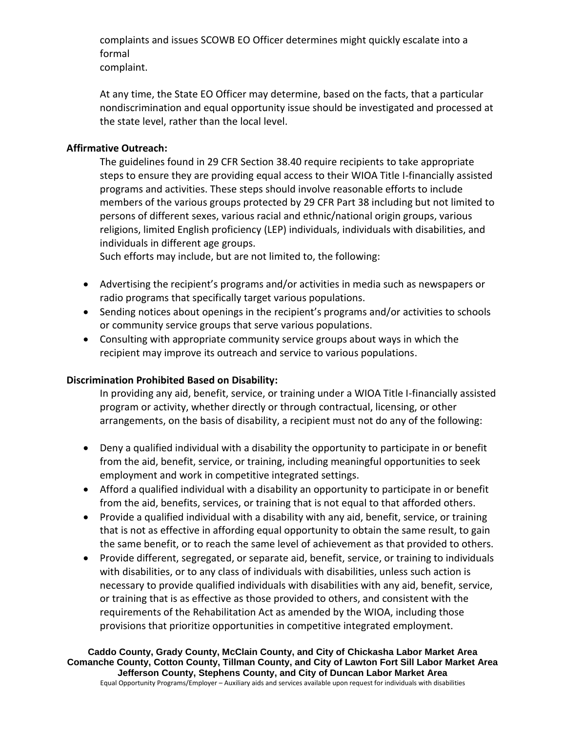complaints and issues SCOWB EO Officer determines might quickly escalate into a formal

complaint.

At any time, the State EO Officer may determine, based on the facts, that a particular nondiscrimination and equal opportunity issue should be investigated and processed at the state level, rather than the local level.

# **Affirmative Outreach:**

The guidelines found in 29 CFR Section 38.40 require recipients to take appropriate steps to ensure they are providing equal access to their WIOA Title I-financially assisted programs and activities. These steps should involve reasonable efforts to include members of the various groups protected by 29 CFR Part 38 including but not limited to persons of different sexes, various racial and ethnic/national origin groups, various religions, limited English proficiency (LEP) individuals, individuals with disabilities, and individuals in different age groups.

Such efforts may include, but are not limited to, the following:

- Advertising the recipient's programs and/or activities in media such as newspapers or radio programs that specifically target various populations.
- Sending notices about openings in the recipient's programs and/or activities to schools or community service groups that serve various populations.
- Consulting with appropriate community service groups about ways in which the recipient may improve its outreach and service to various populations.

# **Discrimination Prohibited Based on Disability:**

In providing any aid, benefit, service, or training under a WIOA Title I-financially assisted program or activity, whether directly or through contractual, licensing, or other arrangements, on the basis of disability, a recipient must not do any of the following:

- Deny a qualified individual with a disability the opportunity to participate in or benefit from the aid, benefit, service, or training, including meaningful opportunities to seek employment and work in competitive integrated settings.
- Afford a qualified individual with a disability an opportunity to participate in or benefit from the aid, benefits, services, or training that is not equal to that afforded others.
- Provide a qualified individual with a disability with any aid, benefit, service, or training that is not as effective in affording equal opportunity to obtain the same result, to gain the same benefit, or to reach the same level of achievement as that provided to others.
- Provide different, segregated, or separate aid, benefit, service, or training to individuals with disabilities, or to any class of individuals with disabilities, unless such action is necessary to provide qualified individuals with disabilities with any aid, benefit, service, or training that is as effective as those provided to others, and consistent with the requirements of the Rehabilitation Act as amended by the WIOA, including those provisions that prioritize opportunities in competitive integrated employment.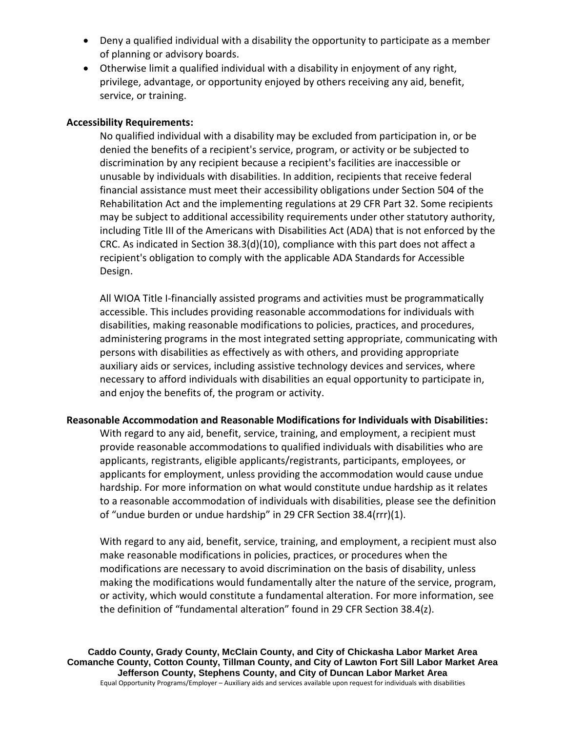- Deny a qualified individual with a disability the opportunity to participate as a member of planning or advisory boards.
- Otherwise limit a qualified individual with a disability in enjoyment of any right, privilege, advantage, or opportunity enjoyed by others receiving any aid, benefit, service, or training.

### **Accessibility Requirements:**

No qualified individual with a disability may be excluded from participation in, or be denied the benefits of a recipient's service, program, or activity or be subjected to discrimination by any recipient because a recipient's facilities are inaccessible or unusable by individuals with disabilities. In addition, recipients that receive federal financial assistance must meet their accessibility obligations under Section 504 of the Rehabilitation Act and the implementing regulations at 29 CFR Part 32. Some recipients may be subject to additional accessibility requirements under other statutory authority, including Title III of the Americans with Disabilities Act (ADA) that is not enforced by the CRC. As indicated in Section  $38.3(d)(10)$ , compliance with this part does not affect a recipient's obligation to comply with the applicable ADA Standards for Accessible Design.

All WIOA Title I-financially assisted programs and activities must be programmatically accessible. This includes providing reasonable accommodations for individuals with disabilities, making reasonable modifications to policies, practices, and procedures, administering programs in the most integrated setting appropriate, communicating with persons with disabilities as effectively as with others, and providing appropriate auxiliary aids or services, including assistive technology devices and services, where necessary to afford individuals with disabilities an equal opportunity to participate in, and enjoy the benefits of, the program or activity.

# **Reasonable Accommodation and Reasonable Modifications for Individuals with Disabilities:**

With regard to any aid, benefit, service, training, and employment, a recipient must provide reasonable accommodations to qualified individuals with disabilities who are applicants, registrants, eligible applicants/registrants, participants, employees, or applicants for employment, unless providing the accommodation would cause undue hardship. For more information on what would constitute undue hardship as it relates to a reasonable accommodation of individuals with disabilities, please see the definition of "undue burden or undue hardship" in 29 CFR Section 38.4(rrr)(1).

With regard to any aid, benefit, service, training, and employment, a recipient must also make reasonable modifications in policies, practices, or procedures when the modifications are necessary to avoid discrimination on the basis of disability, unless making the modifications would fundamentally alter the nature of the service, program, or activity, which would constitute a fundamental alteration. For more information, see the definition of "fundamental alteration" found in 29 CFR Section 38.4(z).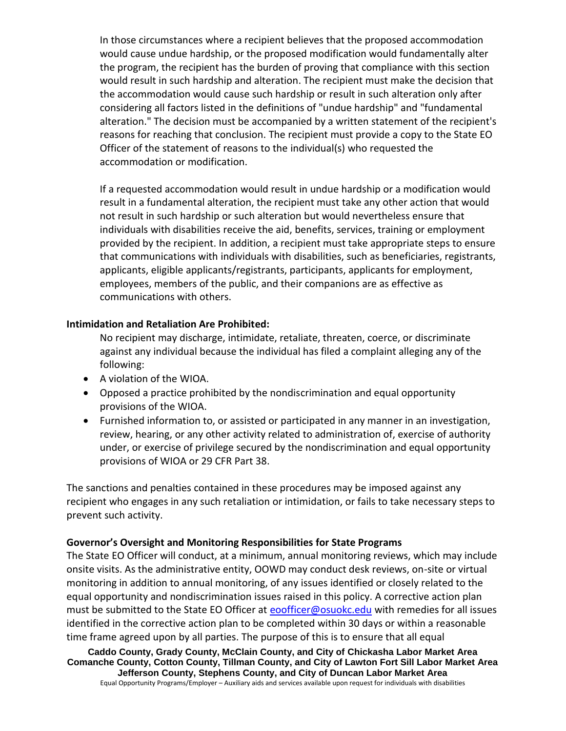In those circumstances where a recipient believes that the proposed accommodation would cause undue hardship, or the proposed modification would fundamentally alter the program, the recipient has the burden of proving that compliance with this section would result in such hardship and alteration. The recipient must make the decision that the accommodation would cause such hardship or result in such alteration only after considering all factors listed in the definitions of "undue hardship" and "fundamental alteration." The decision must be accompanied by a written statement of the recipient's reasons for reaching that conclusion. The recipient must provide a copy to the State EO Officer of the statement of reasons to the individual(s) who requested the accommodation or modification.

If a requested accommodation would result in undue hardship or a modification would result in a fundamental alteration, the recipient must take any other action that would not result in such hardship or such alteration but would nevertheless ensure that individuals with disabilities receive the aid, benefits, services, training or employment provided by the recipient. In addition, a recipient must take appropriate steps to ensure that communications with individuals with disabilities, such as beneficiaries, registrants, applicants, eligible applicants/registrants, participants, applicants for employment, employees, members of the public, and their companions are as effective as communications with others.

### **Intimidation and Retaliation Are Prohibited:**

No recipient may discharge, intimidate, retaliate, threaten, coerce, or discriminate against any individual because the individual has filed a complaint alleging any of the following:

- A violation of the WIOA.
- Opposed a practice prohibited by the nondiscrimination and equal opportunity provisions of the WIOA.
- Furnished information to, or assisted or participated in any manner in an investigation, review, hearing, or any other activity related to administration of, exercise of authority under, or exercise of privilege secured by the nondiscrimination and equal opportunity provisions of WIOA or 29 CFR Part 38.

The sanctions and penalties contained in these procedures may be imposed against any recipient who engages in any such retaliation or intimidation, or fails to take necessary steps to prevent such activity.

#### **Governor's Oversight and Monitoring Responsibilities for State Programs**

The State EO Officer will conduct, at a minimum, annual monitoring reviews, which may include onsite visits. As the administrative entity, OOWD may conduct desk reviews, on-site or virtual monitoring in addition to annual monitoring, of any issues identified or closely related to the equal opportunity and nondiscrimination issues raised in this policy. A corrective action plan must be submitted to the State EO Officer at [eoofficer@osuokc.edu](mailto:eoofficer@osuokc.edu) with remedies for all issues identified in the corrective action plan to be completed within 30 days or within a reasonable time frame agreed upon by all parties. The purpose of this is to ensure that all equal